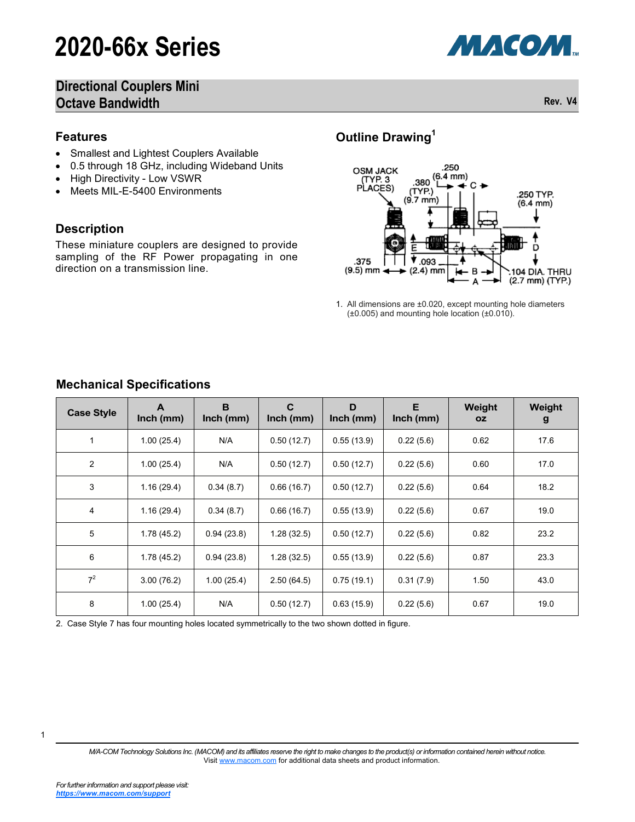# **2020-66x Series**



## **Directional Couplers Mini Octave Bandwidth Rev. V4 Rev. V4**

#### **Features**

- Smallest and Lightest Couplers Available
- 0.5 through 18 GHz, including Wideband Units
- High Directivity Low VSWR
- Meets MIL-E-5400 Environments

#### **Description**

These miniature couplers are designed to provide sampling of the RF Power propagating in one direction on a transmission line.

## **Outline Drawing<sup>1</sup>**



1. All dimensions are ±0.020, except mounting hole diameters (±0.005) and mounting hole location (±0.010).

| <b>Case Style</b> | A<br>$lnch$ (mm) | B<br>$lnch$ (mm) | C<br>$lnch$ (mm) | D<br>$lnch$ (mm) | E<br>$lnch$ (mm) | Weight<br><b>OZ</b> | Weight<br>g |
|-------------------|------------------|------------------|------------------|------------------|------------------|---------------------|-------------|
| $\mathbf{1}$      | 1.00(25.4)       | N/A              | 0.50(12.7)       | 0.55(13.9)       | 0.22(5.6)        | 0.62                | 17.6        |
| $\overline{2}$    | 1.00(25.4)       | N/A              | 0.50(12.7)       | 0.50(12.7)       | 0.22(5.6)        | 0.60                | 17.0        |
| 3                 | 1.16(29.4)       | 0.34(8.7)        | 0.66(16.7)       | 0.50(12.7)       | 0.22(5.6)        | 0.64                | 18.2        |
| 4                 | 1.16(29.4)       | 0.34(8.7)        | 0.66(16.7)       | 0.55(13.9)       | 0.22(5.6)        | 0.67                | 19.0        |
| 5                 | 1.78(45.2)       | 0.94(23.8)       | 1.28(32.5)       | 0.50(12.7)       | 0.22(5.6)        | 0.82                | 23.2        |
| 6                 | 1.78(45.2)       | 0.94(23.8)       | 1.28(32.5)       | 0.55(13.9)       | 0.22(5.6)        | 0.87                | 23.3        |
| $7^2$             | 3.00(76.2)       | 1.00(25.4)       | 2.50(64.5)       | 0.75(19.1)       | 0.31(7.9)        | 1.50                | 43.0        |
| 8                 | 1.00(25.4)       | N/A              | 0.50(12.7)       | 0.63(15.9)       | 0.22(5.6)        | 0.67                | 19.0        |

### **Mechanical Specifications**

2. Case Style 7 has four mounting holes located symmetrically to the two shown dotted in figure.

*M/A-COM Technology Solutions Inc. (MACOM) and its affiliates reserve the right to make changes to the product(s) or information contained herein without notice.*  Visit [www.macom.com](http://www.macom.com/) for additional data sheets and product information.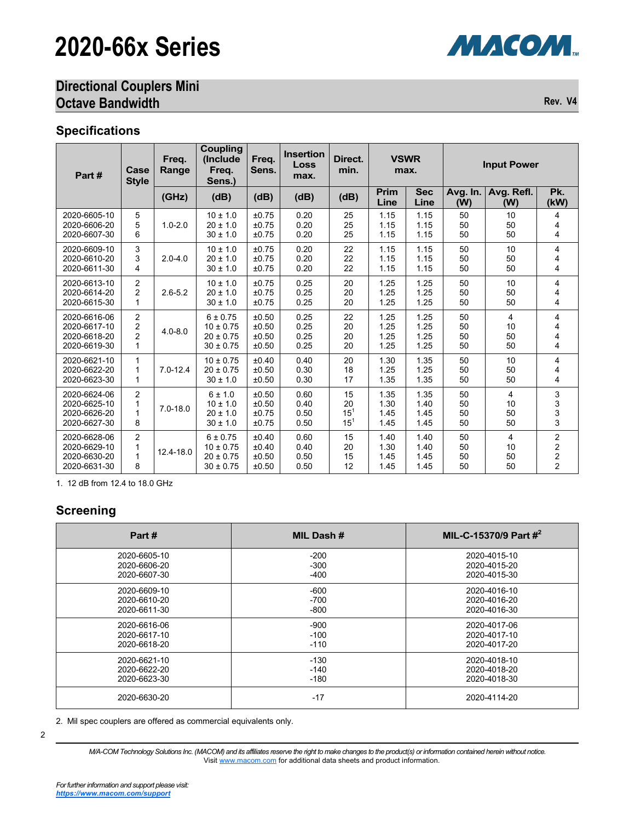# **2020-66x Series**

## **Directional Couplers Mini Octave Bandwidth Rev. V4**

#### **Specifications**

| Part#        | Case<br><b>Style</b> | Freq.<br>Range | <b>Coupling</b><br>(Include<br>Freq.<br>Sens.) | Freq.<br>Sens. | <b>Insertion</b><br>Loss<br>max. | Direct.<br>min. | <b>VSWR</b><br>max. |                    | <b>Input Power</b> |                   |                         |
|--------------|----------------------|----------------|------------------------------------------------|----------------|----------------------------------|-----------------|---------------------|--------------------|--------------------|-------------------|-------------------------|
|              |                      | (GHz)          | (dB)                                           | (dB)           | (dB)                             | (dB)            | Prim<br>Line        | <b>Sec</b><br>Line | Avg. In.<br>(W)    | Avg. Refl.<br>(W) | Pk.<br>(kW)             |
| 2020-6605-10 | 5                    | $1.0 - 2.0$    | $10 \pm 1.0$                                   | ±0.75          | 0.20                             | 25              | 1.15                | 1.15               | 50                 | 10                | 4                       |
| 2020-6606-20 | 5                    |                | $20 \pm 1.0$                                   | ±0.75          | 0.20                             | 25              | 1.15                | 1.15               | 50                 | 50                | 4                       |
| 2020-6607-30 | 6                    |                | $30 \pm 1.0$                                   | ±0.75          | 0.20                             | 25              | 1.15                | 1.15               | 50                 | 50                | 4                       |
| 2020-6609-10 | 3                    | $2.0 - 4.0$    | $10 \pm 1.0$                                   | ±0.75          | 0.20                             | 22              | 1.15                | 1.15               | 50                 | 10                | 4                       |
| 2020-6610-20 | 3                    |                | $20 \pm 1.0$                                   | ±0.75          | 0.20                             | 22              | 1.15                | 1.15               | 50                 | 50                | 4                       |
| 2020-6611-30 | 4                    |                | $30 \pm 1.0$                                   | ±0.75          | 0.20                             | 22              | 1.15                | 1.15               | 50                 | 50                | 4                       |
| 2020-6613-10 | $\overline{c}$       | $2.6 - 5.2$    | $10 \pm 1.0$                                   | ±0.75          | 0.25                             | 20              | 1.25                | 1.25               | 50                 | 10                | 4                       |
| 2020-6614-20 | $\overline{2}$       |                | $20 \pm 1.0$                                   | ±0.75          | 0.25                             | 20              | 1.25                | 1.25               | 50                 | 50                | 4                       |
| 2020-6615-30 | 1                    |                | $30 \pm 1.0$                                   | ±0.75          | 0.25                             | 20              | 1.25                | 1.25               | 50                 | 50                | 4                       |
| 2020-6616-06 | $\overline{2}$       | $4.0 - 8.0$    | $6 \pm 0.75$                                   | ±0.50          | 0.25                             | 22              | 1.25                | 1.25               | 50                 | $\overline{4}$    | 4                       |
| 2020-6617-10 | 2                    |                | $10 \pm 0.75$                                  | ±0.50          | 0.25                             | 20              | 1.25                | 1.25               | 50                 | 10                | 4                       |
| 2020-6618-20 | $\overline{2}$       |                | $20 \pm 0.75$                                  | ±0.50          | 0.25                             | 20              | 1.25                | 1.25               | 50                 | 50                | 4                       |
| 2020-6619-30 | 1                    |                | $30 \pm 0.75$                                  | ±0.50          | 0.25                             | 20              | 1.25                | 1.25               | 50                 | 50                | 4                       |
| 2020-6621-10 | 1                    | $7.0 - 12.4$   | $10 \pm 0.75$                                  | ±0.40          | 0.40                             | 20              | 1.30                | 1.35               | 50                 | 10                | 4                       |
| 2020-6622-20 | 1                    |                | $20 \pm 0.75$                                  | ±0.50          | 0.30                             | 18              | 1.25                | 1.25               | 50                 | 50                | 4                       |
| 2020-6623-30 | 1                    |                | $30 \pm 1.0$                                   | ±0.50          | 0.30                             | 17              | 1.35                | 1.35               | 50                 | 50                | 4                       |
| 2020-6624-06 | $\overline{2}$       | $7.0 - 18.0$   | 6 ± 1.0                                        | ±0.50          | 0.60                             | 15              | 1.35                | 1.35               | 50                 | $\overline{4}$    | 3                       |
| 2020-6625-10 | 1                    |                | $10 \pm 1.0$                                   | ±0.50          | 0.40                             | 20              | 1.30                | 1.40               | 50                 | 10                | 3                       |
| 2020-6626-20 | 1                    |                | $20 \pm 1.0$                                   | ±0.75          | 0.50                             | $15^{1}$        | 1.45                | 1.45               | 50                 | 50                | 3                       |
| 2020-6627-30 | 8                    |                | $30 \pm 1.0$                                   | ±0.75          | 0.50                             | $15^{1}$        | 1.45                | 1.45               | 50                 | 50                | 3                       |
| 2020-6628-06 | $\overline{2}$       | 12.4-18.0      | 6 ± 0.75                                       | ±0.40          | 0.60                             | 15              | 1.40                | 1.40               | 50                 | $\overline{4}$    | 2                       |
| 2020-6629-10 | 1                    |                | $10 \pm 0.75$                                  | ±0.40          | 0.40                             | 20              | 1.30                | 1.40               | 50                 | 10                | $\overline{\mathbf{c}}$ |
| 2020-6630-20 | 1                    |                | $20 \pm 0.75$                                  | ±0.50          | 0.50                             | 15              | 1.45                | 1.45               | 50                 | 50                | $\overline{\mathbf{c}}$ |
| 2020-6631-30 | 8                    |                | $30 \pm 0.75$                                  | ±0.50          | 0.50                             | 12              | 1.45                | 1.45               | 50                 | 50                | $\overline{2}$          |

1. 12 dB from 12.4 to 18.0 GHz

### **Screening**

| Part#        | MIL Dash # | MIL-C-15370/9 Part $#^2$ |
|--------------|------------|--------------------------|
| 2020-6605-10 | $-200$     | 2020-4015-10             |
| 2020-6606-20 | $-300$     | 2020-4015-20             |
| 2020-6607-30 | $-400$     | 2020-4015-30             |
| 2020-6609-10 | $-600$     | 2020-4016-10             |
| 2020-6610-20 | $-700$     | 2020-4016-20             |
| 2020-6611-30 | $-800$     | 2020-4016-30             |
| 2020-6616-06 | $-900$     | 2020-4017-06             |
| 2020-6617-10 | $-100$     | 2020-4017-10             |
| 2020-6618-20 | $-110$     | 2020-4017-20             |
| 2020-6621-10 | $-130$     | 2020-4018-10             |
| 2020-6622-20 | $-140$     | 2020-4018-20             |
| 2020-6623-30 | $-180$     | 2020-4018-30             |
| 2020-6630-20 | $-17$      | 2020-4114-20             |

2. Mil spec couplers are offered as commercial equivalents only.

*M/A-COM Technology Solutions Inc. (MACOM) and its affiliates reserve the right to make changes to the product(s) or information contained herein without notice.*  Visit [www.macom.com](http://www.macom.com/) for additional data sheets and product information.

**МАСОМ** 

<sup>2</sup>